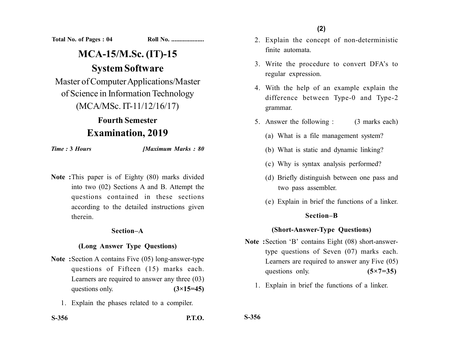**Total No. of Pages : 04 Roll No. ...................** 

# **MCA-15/M.Sc. (IT)-15 System Software**

Master of Computer Applications/Master of Science in Information Technology (MCA/MSc. IT-11/12/16/17)

## **Fourth Semester Examination, 2019**

*Time :* **3** *Hours [Maximum Marks : 80*

**Note :**This paper is of Eighty (80) marks divided into two (02) Sections A and B. Attempt the questions contained in these sections according to the detailed instructions given therein.

#### **Section–A**

### **(Long Answer Type Questions)**

- **Note :**Section A contains Five (05) long-answer-type questions of Fifteen (15) marks each. Learners are required to answer any three (03) questions only.  $(3\times15=45)$ 
	- 1. Explain the phases related to a compiler.

**(2)**

- 2. Explain the concept of non-deterministic finite automata.
- 3. Write the procedure to convert DFA's to regular expression.
- 4. With the help of an example explain the difference between Type-0 and Type-2 grammar.
- 5. Answer the following : (3 marks each)
	- (a) What is a file management system?
	- (b) What is static and dynamic linking?
	- (c) Why is syntax analysis performed?
	- (d) Briefly distinguish between one pass and two pass assembler.
	- (e) Explain in brief the functions of a linker.

#### **Section–B**

### **(Short-Answer-Type Questions)**

- **Note :**Section 'B' contains Eight (08) short-answertype questions of Seven (07) marks each. Learners are required to answer any Five (05) questions only. **(5×7=35)** 
	- 1. Explain in brief the functions of a linker.

**S-356**